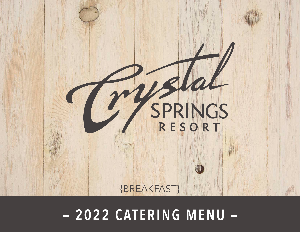

# **THECRYSTALSPRINGSRESORT.COM | SUSSEX COUNTY, NEW JERSEY | 2022 — 2022 CATERING MENU —**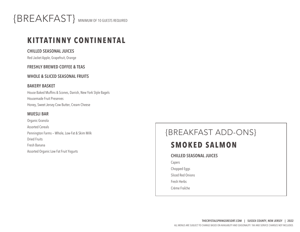

### **KITTATINNY CONTINENTAL**

**CHILLED SEASONAL JUICES** 

Red Jacket Apple, Grapefruit, Orange

### **FRESHLY BREWED COFFEE & TEAS**

### **WHOLE & SLICED SEASONAL FRUITS**

#### **BAKERY BASKET**

House Baked Muffins & Scones, Danish, New York Style Bagels Housemade Fruit Preserves Honey, Sweet Jersey Cow Butter, Cream Cheese

### **MUESLI BAR**

Organic Granola Assorted Cereals Pennington Farms — Whole, Low-Fat & Skim Milk Dried Fruits Fresh Banana Assorted Organic Low Fat Fruit Yogurts

# {BREAKFAST ADD-ONS}

# **SMOKED SALMON**

**CHILLED SEASONAL JUICES** 

Capers Chopped Eggs

Sliced Red Onions

Fresh Herbs

Crème FraÎche